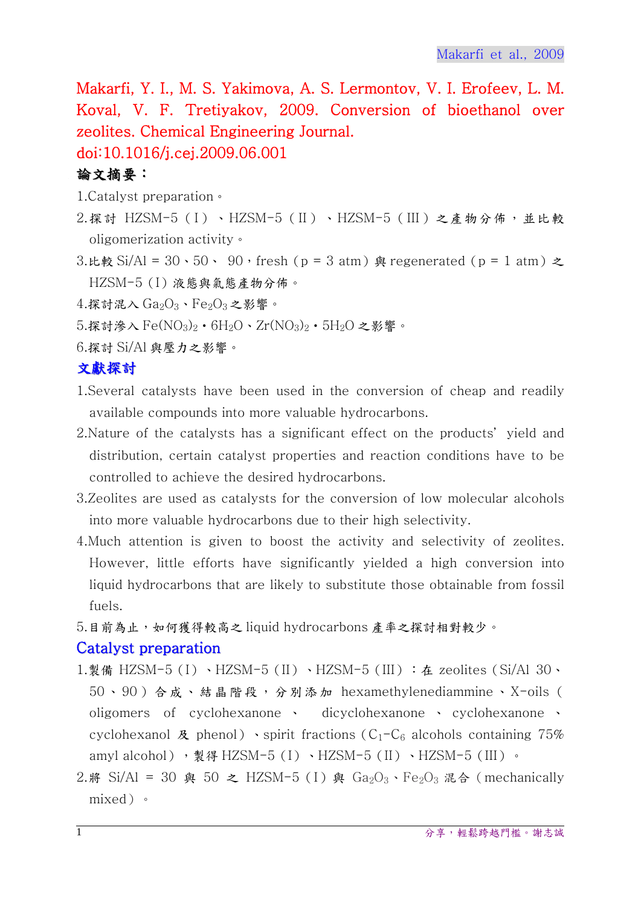Makarfi, Y. I., M. S. Yakimova, A. S. Lermontov, V. I. Erofeev, L. M. Koval, V. F. Tretiyakov, 2009. Conversion of bioethanol over zeolites. Chemical Engineering Journal.

# doi:10.1016/j.cej.2009.06.001

## 論文摘要:

- 1.Catalyst preparation。
- 2.探討 HZSM-5(I)、HZSM-5(II)、HZSM-5(III)之產物分佈,並比較 oligomerization activity。
- 3.比較 Si/Al =  $30 \cdot 50 \cdot 90$ , fresh (p = 3 atm) 與 regenerated (p = 1 atm)  $\geq$ HZSM-5(I)液態與氣態產物分佈。
- $4.$ 探討混入  $Ga_2O_3$ 、 $Fe_2O_3$ 之影響。
- $5.$ 探討滲入 Fe $\left(\text{NO}_3\right)_2\cdot\text{6H}_2\text{O}\cdot\text{Zr}(\text{NO}_3)_2\cdot\text{5H}_2\text{O}$  之影響。
- 6.探討 Si/Al 與壓力之影響。

### 文獻探討

- 1.Several catalysts have been used in the conversion of cheap and readily available compounds into more valuable hydrocarbons.
- 2. Nature of the catalysts has a significant effect on the products' yield and distribution, certain catalyst properties and reaction conditions have to be controlled to achieve the desired hydrocarbons.
- 3.Zeolites are used as catalysts for the conversion of low molecular alcohols into more valuable hydrocarbons due to their high selectivity.
- 4.Much attention is given to boost the activity and selectivity of zeolites. However, little efforts have significantly yielded a high conversion into liquid hydrocarbons that are likely to substitute those obtainable from fossil fuels.
- 5.目前為止,如何獲得較高之 liquid hydrocarbons 產率之探討相對較少。

### Catalyst preparation

- 1.製備 HZSM-5(I)、HZSM-5(II)、HZSM-5(III): 在 zeolites(Si/Al 30、 50、90)合成、結晶階段,分別添加 hexamethylenediammine、X-oils ( oligomers of cyclohexanone 、 dicyclohexanone 、 cyclohexanone 、 cyclohexanol  $\mathcal{R}$  phenol) spirit fractions (C<sub>1</sub>-C<sub>6</sub> alcohols containing 75% amyl alcohol), 製得 HZSM-5(I)、HZSM-5(II)、HZSM-5(III)。
- 2.將 Si/Al = 30 與 50 之 HZSM-5 (I) 與 Ga<sub>2</sub>O<sub>3</sub>、Fe<sub>2</sub>O<sub>3</sub> 混合 (mechanically mixed)。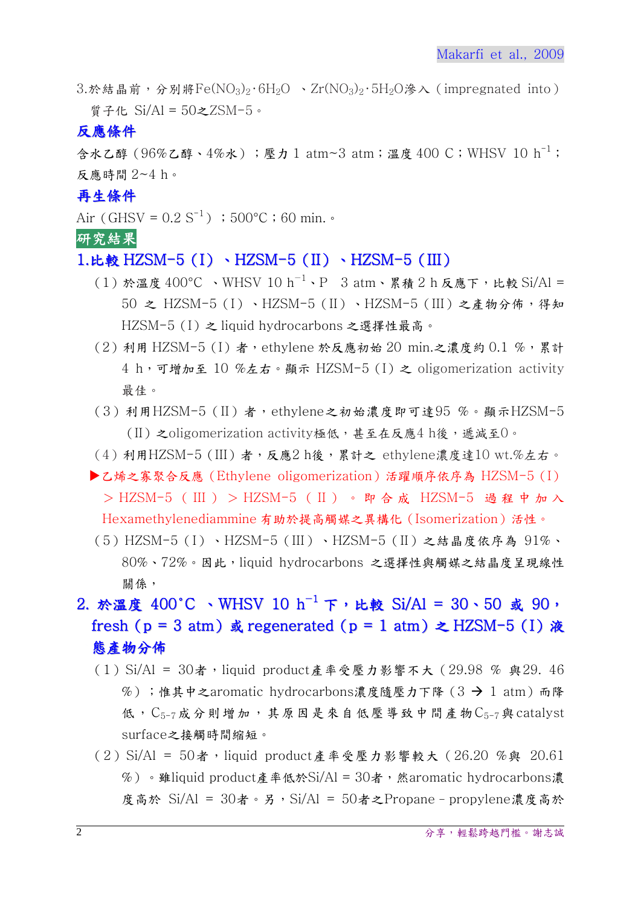$3.$ 於結晶前,分別將Fe(NO<sub>3</sub>)<sub>2</sub>·6H<sub>2</sub>O 、Zr(NO<sub>3</sub>)<sub>2</sub>·5H<sub>2</sub>O滲入(impregnated into) 質子化 Si/Al = 50之ZSM-5。

#### 反應條件

含水乙醇(96%乙醇、4%水);壓力 1 atm~3 atm;溫度 400 C;WHSV 10 h-1; 反應時間 2~4 h。

#### 再生條件

Air (GHSV =  $0.2 S^{-1}$ ); 500 °C;60 min. •

#### 研究結果

#### 1.比較 HZSM-5 (I) 、HZSM-5 (II) 、HZSM-5 (III)

- (1)於溫度 400°C 、WHSV 10 h<sup>-1</sup>、P 3 atm、累積 2 h 反應下, 比較 Si/Al = 50 之 HZSM-5(I)、HZSM-5(II)、HZSM-5(III)之產物分佈,得知 HZSM-5(I)之 liquid hydrocarbons 之選擇性最高。
- (2) 利用 HZSM-5 (I) 者, ethylene 於反應初始 20 min.之濃度約 0.1 %,累計 4 h,可增加至 10 %左右。顯示 HZSM-5(I)之 oligomerization activity 最佳。
- (3)利用HZSM-5(II)者,ethylene之初始濃度即可達95 %。顯示HZSM-5 (II) 之oligomerization activity極低,甚至在反應4 h後,遞減至0。
- (4)利用HZSM-5(III)者,反應2 h後,累計之 ethylene濃度達10 wt.%左右。
- ▶乙烯之寡聚合反應 (Ethylene oligomerization)活躍順序依序為 HZSM-5 (I) > HZSM-5 ( III ) > HZSM-5 ( II )。即合成 HZSM-5 過程中加入 Hexamethylenediammine 有助於提高觸媒之異構化(Isomerization)活性。
- (5)HZSM-5(I)、HZSM-5(III)、HZSM-5(II)之結晶度依序為 91%、 80%、72%。因此,liquid hydrocarbons 之選擇性與觸媒之結晶度呈現線性 關係,

# 2. 於溫度 400°C 、WHSV 10 h<sup>-1</sup> 下, 比較 Si/Al = 30、50 或 90, fresh (p = 3 atm) 或 regenerated (p = 1 atm)  $\geq$  HZSM-5 (I) 液 態產物分佈

- (1) Si/Al = 30者, liquid product產率受壓力影響不大 (29.98 % 與29. 46 %);惟其中之aromatic hydrocarbons濃度隨壓力下降(3 → 1 atm)而降 低,  $C_{5-7}$ 成分則增加, 其原因是來自低壓導致中間產物 $C_{5-7}$ 與 catalyst surface之接觸時間縮短。
- (2) Si/Al = 50者,liquid product產率受壓力影響較大 (26.20 %與 20.61  $%$ ) 。雖liquid product產率低於Si/Al = 30者, 然aromatic hydrocarbons濃 度高於 Si/Al = 30者。另,Si/Al = 50者之Propane–propylene濃度高於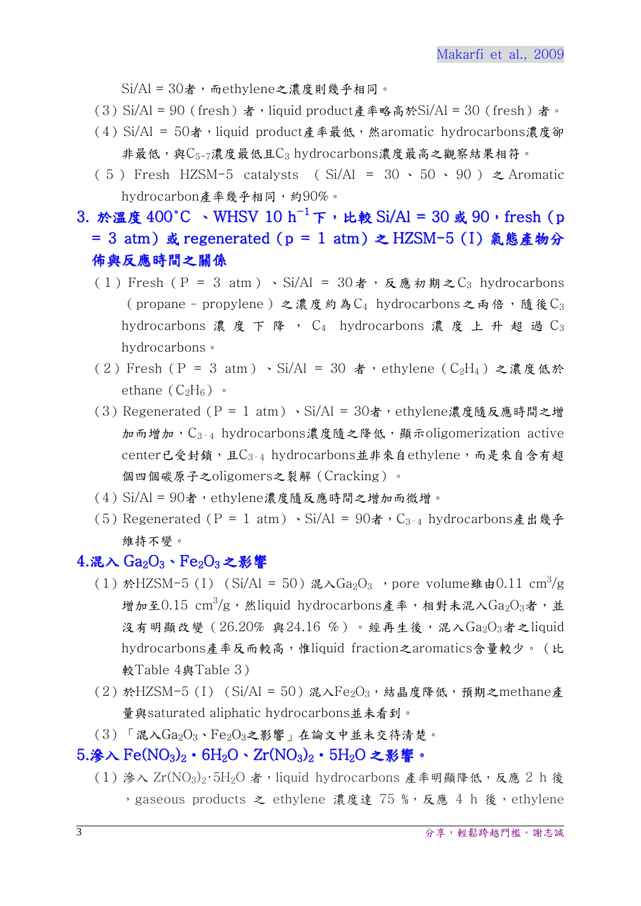$Si/Al = 30$ 者,而ethylene之濃度則幾乎相同。

- (3) Si/Al = 90 (fresh)者, liquid product產率略高於Si/Al = 30 (fresh)者。
- (4) Si/Al = 50者,liquid product產率最低,然aromatic hydrocarbons濃度卻 非最低,與 $C_{5-7}$ 濃度最低且 $C_3$  hydrocarbons濃度最高之觀察結果相符。
- ( 5 ) Fresh HZSM-5 catalysts (  $Si/Al = 30 \cdot 50 \cdot 90$  )  $\geq$  Aromatic hydrocarbon產率幾乎相同,約90%。
- 3. 於溫度 400℃、WHSV 10 h<sup>-1</sup>下,比較 Si/Al = 30 或 90, fresh (p = 3 atm)或 regenerated(p = 1 atm)之 HZSM-5(I)氣態產物分 佈與反應時間之關係
	- (1) Fresh (P = 3 atm) 、Si/Al =  $30\ddot{\mathrm{a}}$ , 反應初期之C<sub>3</sub> hydrocarbons (propane - propylene)之濃度約為 $C_4$  hydrocarbons之兩倍,隨後 $C_3$ hydrocarbons 濃度下降,  $C_4$  hydrocarbons 濃度上升超過 $C_3$ hydrocarbons。
	- (2)Fresh (P = 3 atm)、Si/Al = 30 者, ethylene (C<sub>2</sub>H<sub>4</sub>)之濃度低於 ethane  $(C_2H_6)$  •
	- (3) Regenerated ( $P = 1$  atm) 、Si/Al = 30者, ethylene濃度隨反應時間之增 加而增加,  $C_{3-4}$  hydrocarbons濃度隨之降低, 顯示oligomerization active center已受封鎖,且C3-4 hydrocarbons並非來自ethylene,而是來自含有超 個四個碳原子之oligomers之裂解(Cracking)。
	- $(4)$  Si/Al =  $90\text{\AA}$ , ethylene濃度隨反應時間之增加而微增。
	- (5) Regenerated (P = 1 atm) 、Si/Al =  $90\text{\AA}$ , C<sub>3-4</sub> hydrocarbons產出幾乎 維持不變。

#### $4.\mathbb{R} \wedge \mathrm{Ga}_2\mathrm{O}_3\cdot\mathrm{Fe}_2\mathrm{O}_3$ 之影響

- (1) 於HZSM-5(I) (Si/Al = 50) 混入 $Ga_2O_3$  , pore volume雖由0.11 cm<sup>3</sup>/g 增加至 $0.15$  cm $^3$ /g,然liquid hydrocarbons產率,相對未混入 $\rm Ga_2O_3$ 者,並 沒有明顯改變  $(26.20\%$  與24.16 %)。經再生後,混入 $Ga_2O_3$ 者之liquid hydrocarbons產率反而較高,惟liquid fraction之aromatics含量較少。(比 較Table 4與Table 3)
- $(2)$  於HZSM-5(I) (Si/Al = 50)混入 $Fe<sub>2</sub>O<sub>3</sub>$ , 結晶度降低, 預期之methane產 量與saturated aliphatic hydrocarbons並未看到。
- $(3)$  「混入 $Ga_2O_3$ 、 $Fe_2O_3$ 之影響」在論文中並未交待清楚。

#### $5.\bigstar$ 入 Fe(NO<sub>3</sub>)<sub>2</sub>・6H<sub>2</sub>O、Zr(NO<sub>3</sub>)<sub>2</sub>・5H<sub>2</sub>O 之影響。

(1)滲入 Zr(NO3)2·5H2O者, liquid hydrocarbons 產率明顯降低,反應 2 h 後 , gaseous products 之 ethylene 濃度達 75 %, 反應 4 h 後, ethylene